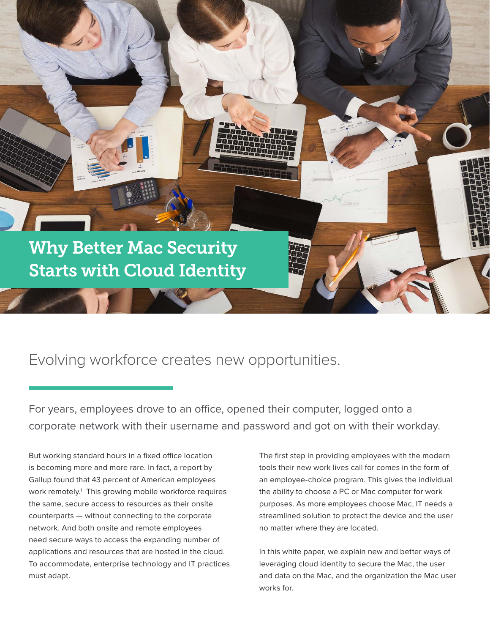

### Evolving workforce creates new opportunities.

For years, employees drove to an office, opened their computer, logged onto a corporate network with their username and password and got on with their workday.

But working standard hours in a fixed office location is becoming more and more rare. In fact, a report by Gallup found that 43 percent of American employees work remotely.1 This growing mobile workforce requires the same, secure access to resources as their onsite counterparts — without connecting to the corporate network. And both onsite and remote employees need secure ways to access the expanding number of applications and resources that are hosted in the cloud. To accommodate, enterprise technology and IT practices must adapt.

The first step in providing employees with the modern tools their new work lives call for comes in the form of an employee-choice program. This gives the individual the ability to choose a PC or Mac computer for work purposes. As more employees choose Mac, IT needs a streamlined solution to protect the device and the user no matter where they are located.

In this white paper, we explain new and better ways of leveraging cloud identity to secure the Mac, the user and data on the Mac, and the organization the Mac user works for.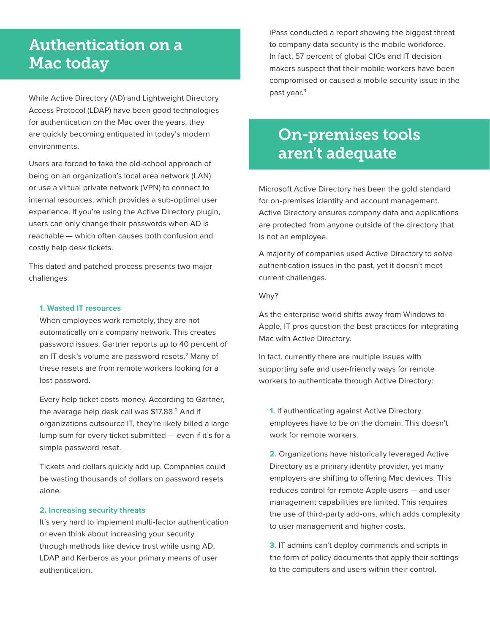# Authentication on a Mac today

While Active Directory (AD) and Lightweight Directory Access Protocol (LDAP) have been good technologies for authentication on the Mac over the years, they are quickly becoming antiquated in today's modern environments.

Users are forced to take the old-school approach of being on an organization's local area network (LAN) or use a virtual private network (VPN) to connect to internal resources, which provides a sub-optimal user experience. If you're using the Active Directory plugin, users can only change their passwords when AD is reachable — which often causes both confusion and costly help desk tickets.

This dated and patched process presents two major challenges:

### **1. Wasted IT resources**

When employees work remotely, they are not automatically on a company network. This creates password issues. Gartner reports up to 40 percent of an IT desk's volume are password resets.2 Many of these resets are from remote workers looking for a lost password.

Every help ticket costs money. According to Gartner, the average help desk call was \$17.88.<sup>2</sup> And if organizations outsource IT, they're likely billed a large lump sum for every ticket submitted — even if it's for a simple password reset.

Tickets and dollars quickly add up. Companies could be wasting thousands of dollars on password resets alone.

### **2. Increasing security threats**

It's very hard to implement multi-factor authentication or even think about increasing your security through methods like device trust while using AD, LDAP and Kerberos as your primary means of user authentication.

iPass conducted a report showing the biggest threat to company data security is the mobile workforce. In fact, 57 percent of global CIOs and IT decision makers suspect that their mobile workers have been compromised or caused a mobile security issue in the past year.<sup>3</sup>

### On-premises tools aren't adequate

Microsoft Active Directory has been the gold standard for on-premises identity and account management. Active Directory ensures company data and applications are protected from anyone outside of the directory that is not an employee.

A majority of companies used Active Directory to solve authentication issues in the past, yet it doesn't meet current challenges.

#### Why?

As the enterprise world shifts away from Windows to Apple, IT pros question the best practices for integrating Mac with Active Directory.

In fact, currently there are multiple issues with supporting safe and user-friendly ways for remote workers to authenticate through Active Directory:

**1.** If authenticating against Active Directory, employees have to be on the domain. This doesn't work for remote workers.

**2.** Organizations have historically leveraged Active Directory as a primary identity provider, yet many employers are shifting to offering Mac devices. This reduces control for remote Apple users — and user management capabilities are limited. This requires the use of third-party add-ons, which adds complexity to user management and higher costs.

**3.** IT admins can't deploy commands and scripts in the form of policy documents that apply their settings to the computers and users within their control.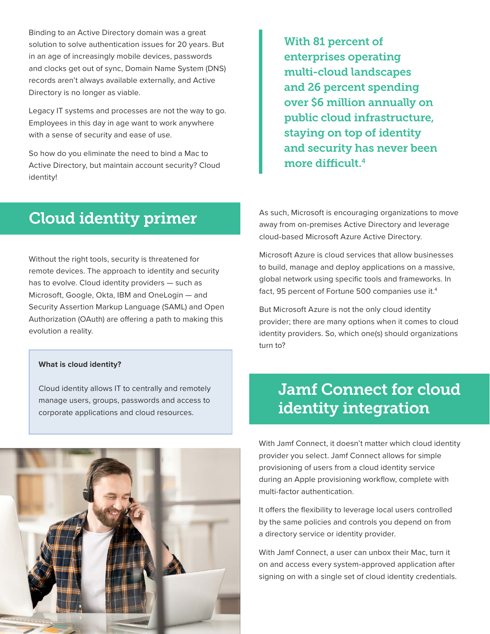Binding to an Active Directory domain was a great solution to solve authentication issues for 20 years. But in an age of increasingly mobile devices, passwords and clocks get out of sync, Domain Name System (DNS) records aren't always available externally, and Active Directory is no longer as viable.

Legacy IT systems and processes are not the way to go. Employees in this day in age want to work anywhere with a sense of security and ease of use.

So how do you eliminate the need to bind a Mac to Active Directory, but maintain account security? Cloud identity!

With 81 percent of enterprises operating multi-cloud landscapes and 26 percent spending over \$6 million annually on public cloud infrastructure, staying on top of identity and security has never been more difficult.4

### Cloud identity primer

Without the right tools, security is threatened for remote devices. The approach to identity and security has to evolve. Cloud identity providers — such as Microsoft, Google, Okta, IBM and OneLogin — and Security Assertion Markup Language (SAML) and Open Authorization (OAuth) are offering a path to making this evolution a reality.

#### **What is cloud identity?**

Cloud identity allows IT to centrally and remotely manage users, groups, passwords and access to corporate applications and cloud resources.

As such, Microsoft is encouraging organizations to move away from on-premises Active Directory and leverage cloud-based Microsoft Azure Active Directory.

Microsoft Azure is cloud services that allow businesses to build, manage and deploy applications on a massive, global network using specific tools and frameworks. In fact, 95 percent of Fortune 500 companies use it.<sup>4</sup>

But Microsoft Azure is not the only cloud identity provider; there are many options when it comes to cloud identity providers. So, which one(s) should organizations turn to?

## Jamf Connect for cloud identity integration

With Jamf Connect, it doesn't matter which cloud identity provider you select. Jamf Connect allows for simple provisioning of users from a cloud identity service during an Apple provisioning workflow, complete with multi-factor authentication.

It offers the flexibility to leverage local users controlled by the same policies and controls you depend on from a directory service or identity provider.

With Jamf Connect, a user can unbox their Mac, turn it on and access every system-approved application after signing on with a single set of cloud identity credentials.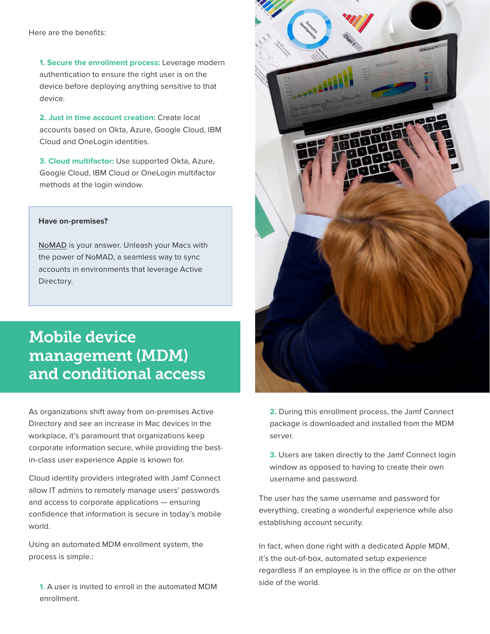Here are the benefits:

**1. Secure the enrollment process:** Leverage modern authentication to ensure the right user is on the device before deploying anything sensitive to that device.

**2. Just in time account creation:** Create local accounts based on Okta, Azure, Google Cloud, IBM Cloud and OneLogin identities.

**3. Cloud multifactor:** Use supported Okta, Azure, Google Cloud, IBM Cloud or OneLogin multifactor methods at the login window.

#### **Have on-premises?**

[NoMAD](https://nomad.menu) is your answer. Unleash your Macs with the power of NoMAD, a seamless way to sync accounts in environments that leverage Active Directory.

# Mobile device management (MDM) and conditional access

As organizations shift away from on-premises Active Directory and see an increase in Mac devices in the workplace, it's paramount that organizations keep corporate information secure, while providing the bestin-class user experience Apple is known for.

Cloud identity providers integrated with Jamf Connect allow IT admins to remotely manage users' passwords and access to corporate applications — ensuring confidence that information is secure in today's mobile world.

Using an automated MDM enrollment system, the process is simple.:

**1.** A user is invited to enroll in the automated MDM enrollment.



**2.** During this enrollment process, the Jamf Connect package is downloaded and installed from the MDM server.

**3.** Users are taken directly to the Jamf Connect login window as opposed to having to create their own username and password.

The user has the same username and password for everything, creating a wonderful experience while also establishing account security.

In fact, when done right with a dedicated Apple MDM, it's the out-of-box, automated setup experience regardless if an employee is in the office or on the other side of the world.